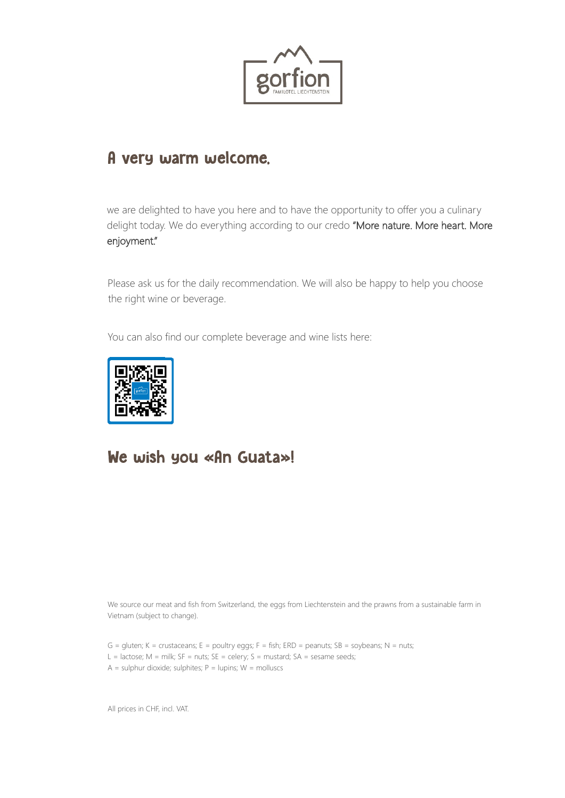

#### A very warm welcome,

we are delighted to have you here and to have the opportunity to offer you a culinary delight today. We do everything according to our credo "More nature. More heart. More enjoyment."

Please ask us for the daily recommendation. We will also be happy to help you choose the right wine or beverage.

You can also find our complete beverage and wine lists here:



#### We wish you «An Guata»!

We source our meat and fish from Switzerland, the eggs from Liechtenstein and the prawns from a sustainable farm in Vietnam (subject to change).

- $G =$  gluten; K = crustaceans; E = poultry eggs; F = fish; ERD = peanuts; SB = soybeans; N = nuts;
- L = lactose;  $M =$  milk;  $SF =$  nuts;  $SE =$  celery;  $S =$  mustard;  $SA =$  sesame seeds;
- $A =$  sulphur dioxide; sulphites;  $P =$  lupins;  $W =$  molluscs

All prices in CHF, incl. VAT.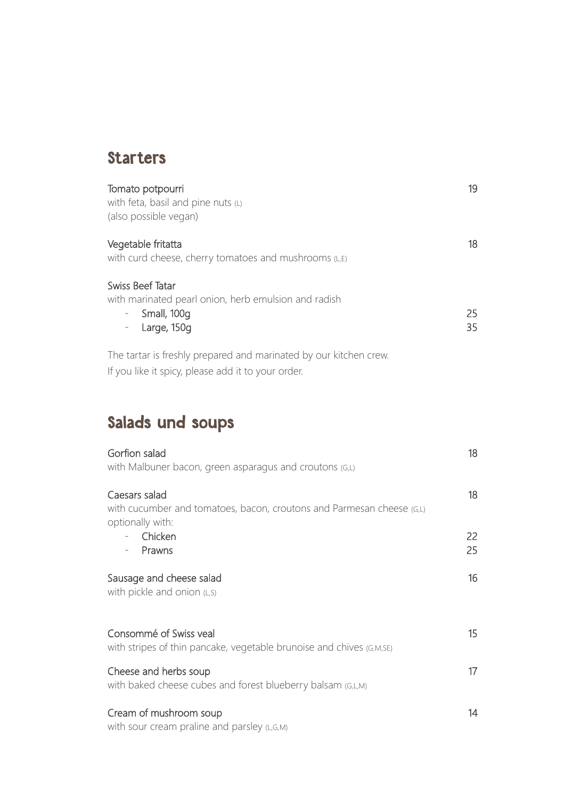#### **Starters**

| Tomato potpourri<br>with feta, basil and pine nuts (L)<br>(also possible vegan)                                                | 19       |
|--------------------------------------------------------------------------------------------------------------------------------|----------|
| Vegetable fritatta<br>with curd cheese, cherry tomatoes and mushrooms (L,E)                                                    | 18       |
| Swiss Beef Tatar<br>with marinated pearl onion, herb emulsion and radish<br>Small, 100g<br>$\equiv$<br>Large, 150g<br>$\equiv$ | 25<br>35 |
| The tartar is freshly prepared and marinated by our kitchen crew.                                                              |          |

If you like it spicy, please add it to your order.

# Salads und soups

| Gorfion salad<br>with Malbuner bacon, green asparagus and croutons (G,L)                                   | 18       |
|------------------------------------------------------------------------------------------------------------|----------|
| Caesars salad<br>with cucumber and tomatoes, bacon, croutons and Parmesan cheese (G,L)<br>optionally with: | 18       |
| Chicken<br>Prawns                                                                                          | 22<br>25 |
| Sausage and cheese salad<br>with pickle and onion $(L, S)$                                                 | 16       |
| Consommé of Swiss yeal<br>with stripes of thin pancake, vegetable brunoise and chives (G,M,SE)             | 15       |
| Cheese and herbs soup<br>with baked cheese cubes and forest blueberry balsam (G,L,M)                       | 17       |
| Cream of mushroom soup<br>with sour cream praline and parsley (L,G,M)                                      | 14       |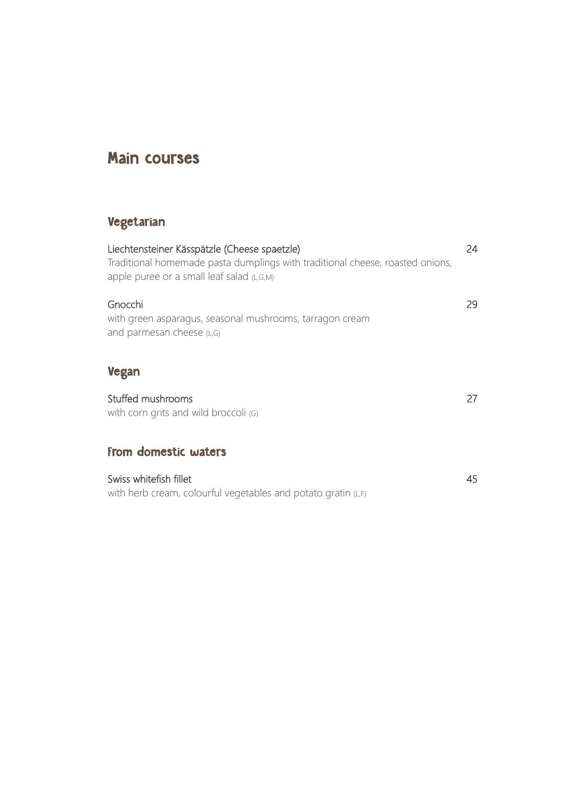### Main courses

#### Vegetarian

| Liechtensteiner Kässpätzle (Cheese spaetzle)<br>Traditional homemade pasta dumplings with traditional cheese, roasted onions,<br>apple puree or a small leaf salad (L,G,M) | 24  |
|----------------------------------------------------------------------------------------------------------------------------------------------------------------------------|-----|
| Gnocchi<br>with green asparagus, seasonal mushrooms, tarragon cream<br>and parmesan cheese (L,G)                                                                           | 29. |
| <b>Vegan</b>                                                                                                                                                               |     |
| Stuffed mushrooms<br>with corn grits and wild broccoli (G)                                                                                                                 | 27  |
| From domestic waters                                                                                                                                                       |     |
| Swiss whitefish fillet<br>with herb cream, colourful vegetables and potato gratin (L,F)                                                                                    | 45  |
|                                                                                                                                                                            |     |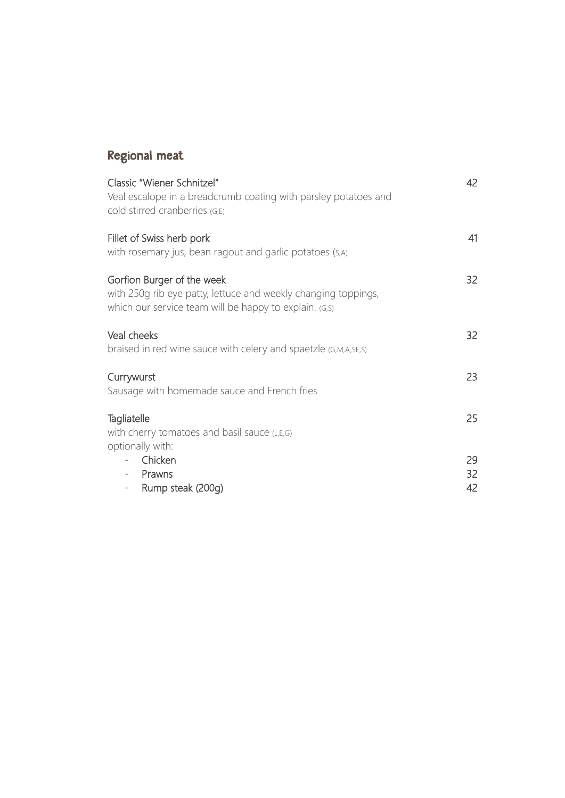## Regional meat

| Classic "Wiener Schnitzel"<br>Veal escalope in a breadcrumb coating with parsley potatoes and<br>cold stirred cranberries (G,E)                        | 42             |
|--------------------------------------------------------------------------------------------------------------------------------------------------------|----------------|
| Fillet of Swiss herb pork<br>with rosemary jus, bean ragout and garlic potatoes (S,A)                                                                  | 41             |
| Gorfion Burger of the week<br>with 250g rib eye patty, lettuce and weekly changing toppings,<br>which our service team will be happy to explain. (G,S) | 32             |
| Veal cheeks<br>braised in red wine sauce with celery and spaetzle (G,M,A,SE,S)                                                                         | 32             |
| Currywurst<br>Sausage with homemade sauce and French fries                                                                                             | 23             |
| Tagliatelle<br>with cherry tomatoes and basil sauce (L,E,G)<br>optionally with:                                                                        | 25             |
| Chicken<br>Prawns<br>$\overline{\phantom{a}}$<br>Rump steak (200g)<br>$\overline{\phantom{a}}$                                                         | 29<br>32<br>42 |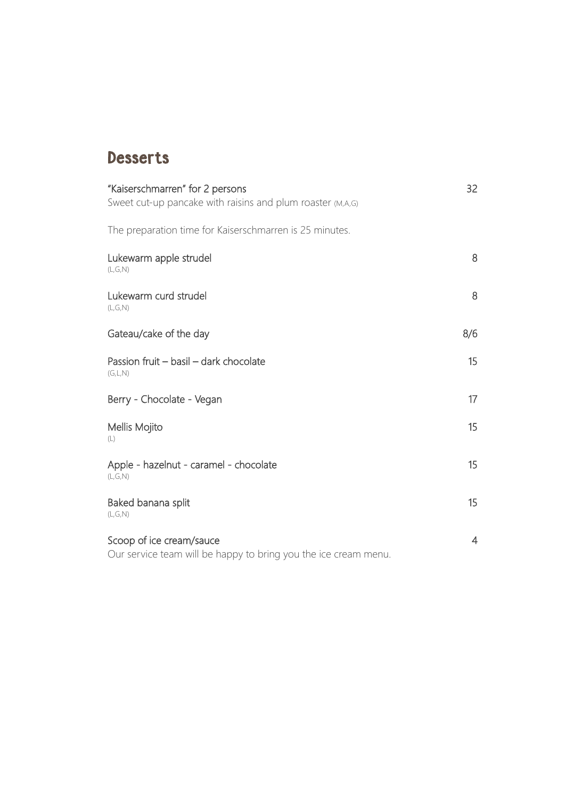### **Desserts**

| "Kaiserschmarren" for 2 persons<br>Sweet cut-up pancake with raisins and plum roaster (M,A,G) | 32              |
|-----------------------------------------------------------------------------------------------|-----------------|
| The preparation time for Kaiserschmarren is 25 minutes.                                       |                 |
| Lukewarm apple strudel<br>(L, G, N)                                                           | 8               |
| Lukewarm curd strudel<br>(L,G,N)                                                              | 8               |
| Gateau/cake of the day                                                                        | 8/6             |
| Passion fruit - basil - dark chocolate<br>(G, L, N)                                           | 15              |
| Berry - Chocolate - Vegan                                                                     | 17 <sup>2</sup> |
| Mellis Mojito<br>(L)                                                                          | 15              |
| Apple - hazelnut - caramel - chocolate<br>(L,G,N)                                             | 15              |
| Baked banana split<br>(L,G,N)                                                                 | 15              |
| Scoop of ice cream/sauce<br>Our service team will be happy to bring you the ice cream menu.   | $\overline{4}$  |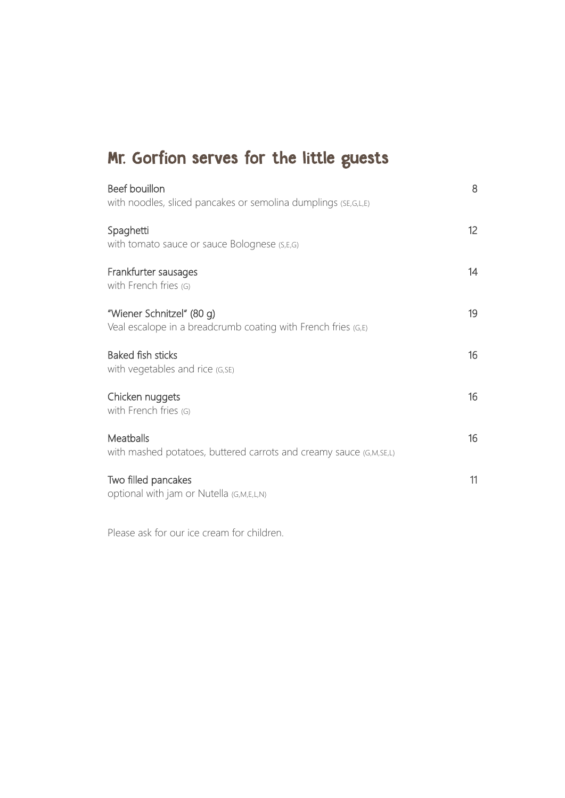# Mr. Gorfion serves for the little guests

| Beef bouillon<br>with noodles, sliced pancakes or semolina dumplings (SE, G, L, E)         | 8               |
|--------------------------------------------------------------------------------------------|-----------------|
| Spaghetti<br>with tomato sauce or sauce Bolognese (S,E,G)                                  | 12 <sup>°</sup> |
| Frankfurter sausages<br>with French fries (G)                                              | 14              |
| "Wiener Schnitzel" (80 g)<br>Veal escalope in a breadcrumb coating with French fries (G,E) | 19              |
| <b>Baked fish sticks</b><br>with vegetables and rice (G, SE)                               | 16              |
| Chicken nuggets<br>with French fries (G)                                                   | 16              |
| Meatballs<br>with mashed potatoes, buttered carrots and creamy sauce (G,M,SE,L)            | 16              |
| Two filled pancakes<br>optional with jam or Nutella (G,M,E,L,N)                            | 11              |

Please ask for our ice cream for children.